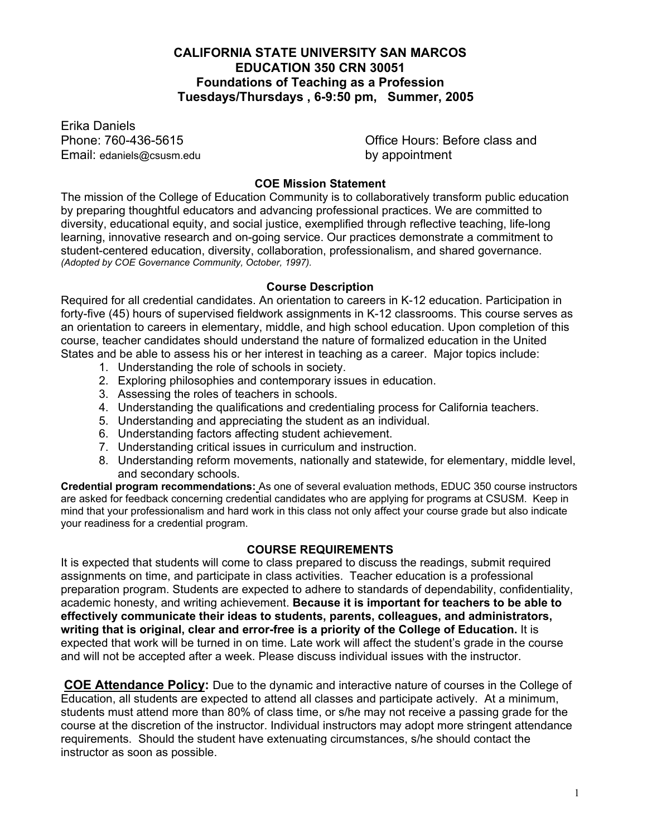## **CALIFORNIA STATE UNIVERSITY SAN MARCOS EDUCATION 350 CRN 30051 Foundations of Teaching as a Profession Tuesdays/Thursdays , 6-9:50 pm, Summer, 2005**

Erika Daniels Email: edaniels@csusm.edu by appointment

Phone: 760-436-5615 Office Hours: Before class and

## **COE Mission Statement**

The mission of the College of Education Community is to collaboratively transform public education by preparing thoughtful educators and advancing professional practices. We are committed to diversity, educational equity, and social justice, exemplified through reflective teaching, life-long learning, innovative research and on-going service. Our practices demonstrate a commitment to student-centered education, diversity, collaboration, professionalism, and shared governance. *(Adopted by COE Governance Community, October, 1997).*

#### **Course Description**

Required for all credential candidates. An orientation to careers in K-12 education. Participation in forty-five (45) hours of supervised fieldwork assignments in K-12 classrooms. This course serves as an orientation to careers in elementary, middle, and high school education. Upon completion of this course, teacher candidates should understand the nature of formalized education in the United States and be able to assess his or her interest in teaching as a career. Major topics include:

- 1. Understanding the role of schools in society.
- 2. Exploring philosophies and contemporary issues in education.
- 3. Assessing the roles of teachers in schools.
- 4. Understanding the qualifications and credentialing process for California teachers.
- 5. Understanding and appreciating the student as an individual.
- 6. Understanding factors affecting student achievement.
- 7. Understanding critical issues in curriculum and instruction.
- 8. Understanding reform movements, nationally and statewide, for elementary, middle level, and secondary schools.

**Credential program recommendations:** As one of several evaluation methods, EDUC 350 course instructors are asked for feedback concerning credential candidates who are applying for programs at CSUSM. Keep in mind that your professionalism and hard work in this class not only affect your course grade but also indicate your readiness for a credential program.

## **COURSE REQUIREMENTS**

It is expected that students will come to class prepared to discuss the readings, submit required assignments on time, and participate in class activities. Teacher education is a professional preparation program. Students are expected to adhere to standards of dependability, confidentiality, academic honesty, and writing achievement. **Because it is important for teachers to be able to effectively communicate their ideas to students, parents, colleagues, and administrators, writing that is original, clear and error-free is a priority of the College of Education.** It is expected that work will be turned in on time. Late work will affect the student's grade in the course and will not be accepted after a week. Please discuss individual issues with the instructor.

**COE Attendance Policy:** Due to the dynamic and interactive nature of courses in the College of Education, all students are expected to attend all classes and participate actively. At a minimum, students must attend more than 80% of class time, or s/he may not receive a passing grade for the course at the discretion of the instructor. Individual instructors may adopt more stringent attendance requirements. Should the student have extenuating circumstances, s/he should contact the instructor as soon as possible.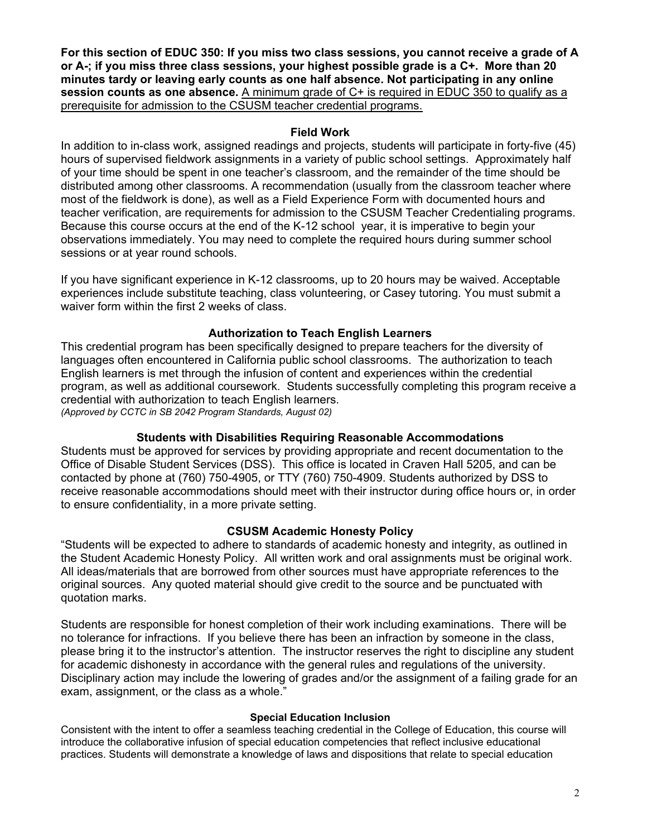**For this section of EDUC 350: If you miss two class sessions, you cannot receive a grade of A or A-; if you miss three class sessions, your highest possible grade is a C+. More than 20 minutes tardy or leaving early counts as one half absence. Not participating in any online**  session counts as one absence. A minimum grade of C+ is required in EDUC 350 to qualify as a prerequisite for admission to the CSUSM teacher credential programs.

## **Field Work**

In addition to in-class work, assigned readings and projects, students will participate in forty-five (45) hours of supervised fieldwork assignments in a variety of public school settings. Approximately half of your time should be spent in one teacher's classroom, and the remainder of the time should be distributed among other classrooms. A recommendation (usually from the classroom teacher where most of the fieldwork is done), as well as a Field Experience Form with documented hours and teacher verification, are requirements for admission to the CSUSM Teacher Credentialing programs. Because this course occurs at the end of the K-12 school year, it is imperative to begin your observations immediately. You may need to complete the required hours during summer school sessions or at year round schools.

If you have significant experience in K-12 classrooms, up to 20 hours may be waived. Acceptable experiences include substitute teaching, class volunteering, or Casey tutoring. You must submit a waiver form within the first 2 weeks of class.

## **Authorization to Teach English Learners**

This credential program has been specifically designed to prepare teachers for the diversity of languages often encountered in California public school classrooms. The authorization to teach English learners is met through the infusion of content and experiences within the credential program, as well as additional coursework. Students successfully completing this program receive a credential with authorization to teach English learners. *(Approved by CCTC in SB 2042 Program Standards, August 02)*

## **Students with Disabilities Requiring Reasonable Accommodations**

Students must be approved for services by providing appropriate and recent documentation to the Office of Disable Student Services (DSS). This office is located in Craven Hall 5205, and can be contacted by phone at (760) 750-4905, or TTY (760) 750-4909. Students authorized by DSS to receive reasonable accommodations should meet with their instructor during office hours or, in order to ensure confidentiality, in a more private setting.

## **CSUSM Academic Honesty Policy**

"Students will be expected to adhere to standards of academic honesty and integrity, as outlined in the Student Academic Honesty Policy. All written work and oral assignments must be original work. All ideas/materials that are borrowed from other sources must have appropriate references to the original sources. Any quoted material should give credit to the source and be punctuated with quotation marks.

Students are responsible for honest completion of their work including examinations. There will be no tolerance for infractions. If you believe there has been an infraction by someone in the class, please bring it to the instructor's attention. The instructor reserves the right to discipline any student for academic dishonesty in accordance with the general rules and regulations of the university. Disciplinary action may include the lowering of grades and/or the assignment of a failing grade for an exam, assignment, or the class as a whole."

## **Special Education Inclusion**

Consistent with the intent to offer a seamless teaching credential in the College of Education, this course will introduce the collaborative infusion of special education competencies that reflect inclusive educational practices. Students will demonstrate a knowledge of laws and dispositions that relate to special education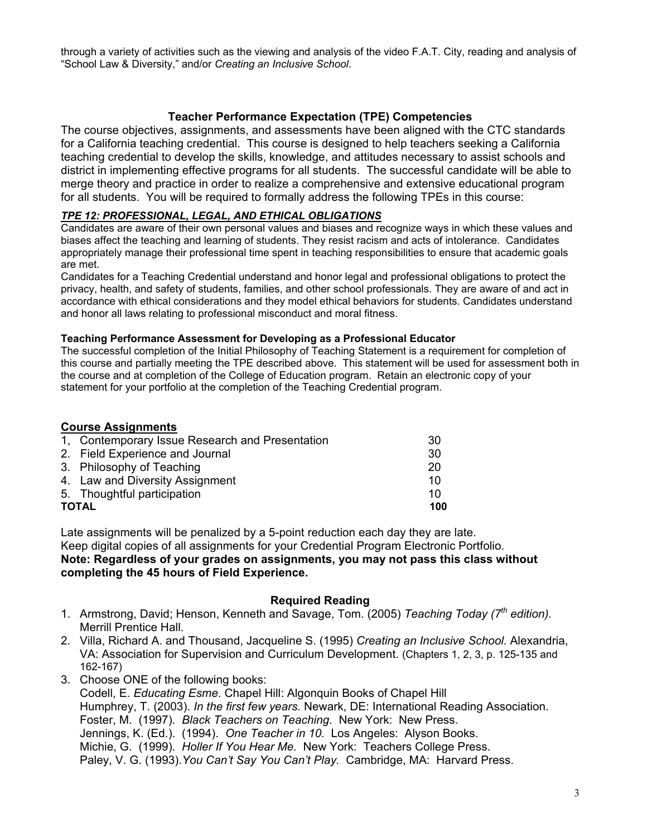through a variety of activities such as the viewing and analysis of the video F.A.T. City, reading and analysis of "School Law & Diversity," and/or *Creating an Inclusive School*.

## **Teacher Performance Expectation (TPE) Competencies**

The course objectives, assignments, and assessments have been aligned with the CTC standards for a California teaching credential. This course is designed to help teachers seeking a California teaching credential to develop the skills, knowledge, and attitudes necessary to assist schools and district in implementing effective programs for all students. The successful candidate will be able to merge theory and practice in order to realize a comprehensive and extensive educational program for all students. You will be required to formally address the following TPEs in this course:

#### *TPE 12: PROFESSIONAL, LEGAL, AND ETHICAL OBLIGATIONS*

Candidates are aware of their own personal values and biases and recognize ways in which these values and biases affect the teaching and learning of students. They resist racism and acts of intolerance. Candidates appropriately manage their professional time spent in teaching responsibilities to ensure that academic goals are met.

Candidates for a Teaching Credential understand and honor legal and professional obligations to protect the privacy, health, and safety of students, families, and other school professionals. They are aware of and act in accordance with ethical considerations and they model ethical behaviors for students. Candidates understand and honor all laws relating to professional misconduct and moral fitness.

#### **Teaching Performance Assessment for Developing as a Professional Educator**

The successful completion of the Initial Philosophy of Teaching Statement is a requirement for completion of this course and partially meeting the TPE described above. This statement will be used for assessment both in the course and at completion of the College of Education program. Retain an electronic copy of your statement for your portfolio at the completion of the Teaching Credential program.

## **Course Assignments**

| 1, Contemporary Issue Research and Presentation | 30 |  |
|-------------------------------------------------|----|--|
| 2. Field Experience and Journal                 | 30 |  |
| 3. Philosophy of Teaching                       | 20 |  |
| 4. Law and Diversity Assignment                 | 10 |  |
| 5. Thoughtful participation                     | 10 |  |
| <b>TOTAL</b>                                    |    |  |

Late assignments will be penalized by a 5-point reduction each day they are late. Keep digital copies of all assignments for your Credential Program Electronic Portfolio. **Note: Regardless of your grades on assignments, you may not pass this class without completing the 45 hours of Field Experience.** 

## **Required Reading**

- 1. Armstrong, David; Henson, Kenneth and Savage, Tom. (2005) *Teaching Today (7th edition).*  Merrill Prentice Hall.
- 2. Villa, Richard A. and Thousand, Jacqueline S. (1995) *Creating an Inclusive School.* Alexandria, VA: Association for Supervision and Curriculum Development. (Chapters 1, 2, 3, p. 125-135 and 162-167)
- 3. Choose ONE of the following books: Codell, E. *Educating Esme*. Chapel Hill: Algonquin Books of Chapel Hill Humphrey, T. (2003). *In the first few years.* Newark, DE: International Reading Association. Foster, M. (1997). *Black Teachers on Teaching*. New York: New Press. Jennings, K. (Ed.). (1994). *One Teacher in 10.* Los Angeles: Alyson Books. Michie, G. (1999). *Holler If You Hear Me.* New York: Teachers College Press. Paley, V. G. (1993).*You Can't Say You Can't Play.* Cambridge, MA: Harvard Press.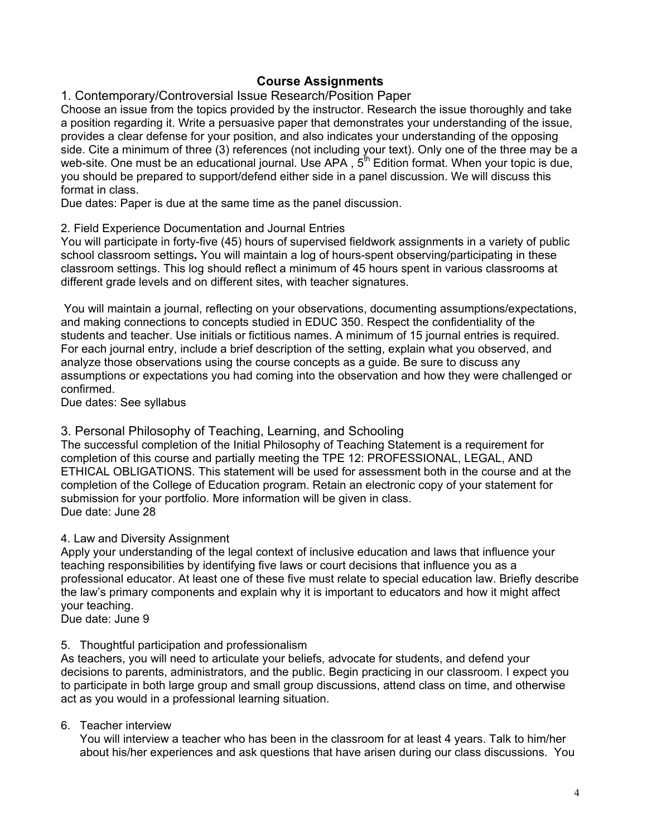# **Course Assignments**

1. Contemporary/Controversial Issue Research/Position Paper

Choose an issue from the topics provided by the instructor. Research the issue thoroughly and take a position regarding it. Write a persuasive paper that demonstrates your understanding of the issue, provides a clear defense for your position, and also indicates your understanding of the opposing side. Cite a minimum of three (3) references (not including your text). Only one of the three may be a web-site. One must be an educational journal. Use APA,  $5^{th}$  Edition format. When your topic is due, you should be prepared to support/defend either side in a panel discussion. We will discuss this format in class.

Due dates: Paper is due at the same time as the panel discussion.

## 2. Field Experience Documentation and Journal Entries

You will participate in forty-five (45) hours of supervised fieldwork assignments in a variety of public school classroom settings**.** You will maintain a log of hours-spent observing/participating in these classroom settings. This log should reflect a minimum of 45 hours spent in various classrooms at different grade levels and on different sites, with teacher signatures.

 You will maintain a journal, reflecting on your observations, documenting assumptions/expectations, and making connections to concepts studied in EDUC 350. Respect the confidentiality of the students and teacher. Use initials or fictitious names. A minimum of 15 journal entries is required. For each journal entry, include a brief description of the setting, explain what you observed, and analyze those observations using the course concepts as a guide. Be sure to discuss any assumptions or expectations you had coming into the observation and how they were challenged or confirmed.

Due dates: See syllabus

## 3. Personal Philosophy of Teaching, Learning, and Schooling

The successful completion of the Initial Philosophy of Teaching Statement is a requirement for completion of this course and partially meeting the TPE 12: PROFESSIONAL, LEGAL, AND ETHICAL OBLIGATIONS. This statement will be used for assessment both in the course and at the completion of the College of Education program. Retain an electronic copy of your statement for submission for your portfolio. More information will be given in class. Due date: June 28

## 4. Law and Diversity Assignment

Apply your understanding of the legal context of inclusive education and laws that influence your teaching responsibilities by identifying five laws or court decisions that influence you as a professional educator. At least one of these five must relate to special education law. Briefly describe the law's primary components and explain why it is important to educators and how it might affect your teaching.

Due date: June 9

## 5. Thoughtful participation and professionalism

As teachers, you will need to articulate your beliefs, advocate for students, and defend your decisions to parents, administrators, and the public. Begin practicing in our classroom. I expect you to participate in both large group and small group discussions, attend class on time, and otherwise act as you would in a professional learning situation.

## 6. Teacher interview

You will interview a teacher who has been in the classroom for at least 4 years. Talk to him/her about his/her experiences and ask questions that have arisen during our class discussions. You